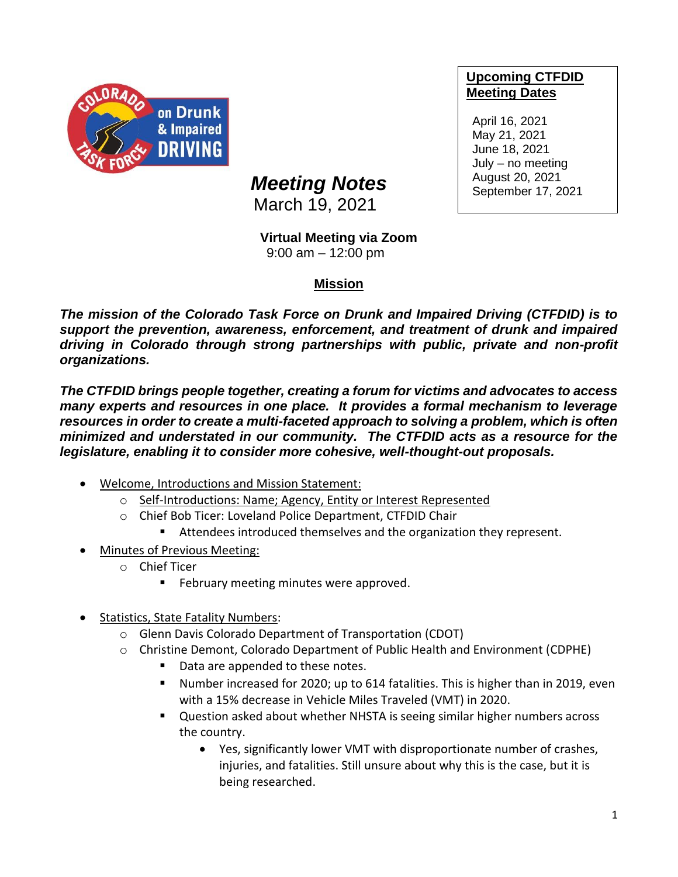

## **Upcoming CTFDID Meeting Dates**

April 16, 2021 May 21, 2021 June 18, 2021 July – no meeting August 20, 2021 September 17, 2021

## *Meeting Notes*

March 19, 2021

## **Virtual Meeting via Zoom**

9:00 am – 12:00 pm

## **Mission**

*The mission of the Colorado Task Force on Drunk and Impaired Driving (CTFDID) is to support the prevention, awareness, enforcement, and treatment of drunk and impaired driving in Colorado through strong partnerships with public, private and non-profit organizations.* 

*The CTFDID brings people together, creating a forum for victims and advocates to access many experts and resources in one place. It provides a formal mechanism to leverage*  resources in order to create a multi-faceted approach to solving a problem, which is often *minimized and understated in our community. The CTFDID acts as a resource for the legislature, enabling it to consider more cohesive, well-thought-out proposals.* 

- Welcome, Introductions and Mission Statement:
	- o Self-Introductions: Name; Agency, Entity or Interest Represented
	- o Chief Bob Ticer: Loveland Police Department, CTFDID Chair
		- Attendees introduced themselves and the organization they represent.
- Minutes of Previous Meeting:
	- o Chief Ticer
		- February meeting minutes were approved.
- Statistics, State Fatality Numbers:
	- o Glenn Davis Colorado Department of Transportation (CDOT)
	- o Christine Demont, Colorado Department of Public Health and Environment (CDPHE)
		- Data are appended to these notes.
		- Number increased for 2020; up to 614 fatalities. This is higher than in 2019, even with a 15% decrease in Vehicle Miles Traveled (VMT) in 2020.
		- Question asked about whether NHSTA is seeing similar higher numbers across the country.
			- Yes, significantly lower VMT with disproportionate number of crashes, injuries, and fatalities. Still unsure about why this is the case, but it is being researched.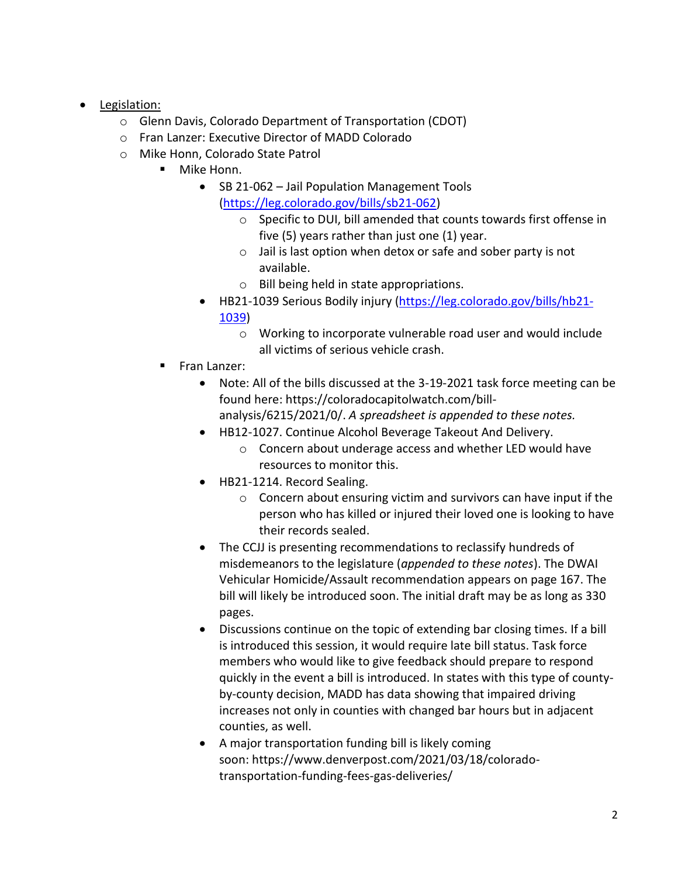- Legislation:
	- o Glenn Davis, Colorado Department of Transportation (CDOT)
	- o Fran Lanzer: Executive Director of MADD Colorado
	- o Mike Honn, Colorado State Patrol
		- Mike Honn.
			- SB 21-062 Jail Population Management Tools [\(https://leg.colorado.gov/bills/sb21-062\)](https://leg.colorado.gov/bills/sb21-062)
				- o Specific to DUI, bill amended that counts towards first offense in five (5) years rather than just one (1) year.
				- o Jail is last option when detox or safe and sober party is not available.
				- o Bill being held in state appropriations.
			- HB21-1039 Serious Bodily injury [\(https://leg.colorado.gov/bills/hb21-](https://leg.colorado.gov/bills/hb21-1039) [1039\)](https://leg.colorado.gov/bills/hb21-1039)
				- o Working to incorporate vulnerable road user and would include all victims of serious vehicle crash.
		- Fran Lanzer:
			- Note: All of the bills discussed at the 3-19-2021 task force meeting can be found here: [https://coloradocapitolwatch.com/bill](https://urldefense.com/v3/__https:/coloradocapitolwatch.com/bill-analysis/6215/2021/0/__;!!PUG2raq7KiCZwBk!MHLIZAWid34zvT6ygQD4RXO0wNEP0aSGPt1H5B5TvWSWC8tVjrmkRWpOIPRaBb-_tiRXSg$)[analysis/6215/2021/0/.](https://urldefense.com/v3/__https:/coloradocapitolwatch.com/bill-analysis/6215/2021/0/__;!!PUG2raq7KiCZwBk!MHLIZAWid34zvT6ygQD4RXO0wNEP0aSGPt1H5B5TvWSWC8tVjrmkRWpOIPRaBb-_tiRXSg$) *A spreadsheet is appended to these notes.*
			- HB12-1027. Continue Alcohol Beverage Takeout And Delivery.
				- o Concern about underage access and whether LED would have resources to monitor this.
			- HB21-1214. Record Sealing.
				- $\circ$  Concern about ensuring victim and survivors can have input if the person who has killed or injured their loved one is looking to have their records sealed.
			- The CCJJ is presenting recommendations to reclassify hundreds of misdemeanors to the legislature (*appended to these notes*). The DWAI Vehicular Homicide/Assault recommendation appears on page 167. The bill will likely be introduced soon. The initial draft may be as long as 330 pages.
			- Discussions continue on the topic of extending bar closing times. If a bill is introduced this session, it would require late bill status. Task force members who would like to give feedback should prepare to respond quickly in the event a bill is introduced. In states with this type of countyby-county decision, MADD has data showing that impaired driving increases not only in counties with changed bar hours but in adjacent counties, as well.
			- A major transportation funding bill is likely coming soon: [https://www.denverpost.com/2021/03/18/colorado](https://urldefense.com/v3/__https:/www.denverpost.com/2021/03/18/colorado-transportation-funding-fees-gas-deliveries/__;!!PUG2raq7KiCZwBk!MHLIZAWid34zvT6ygQD4RXO0wNEP0aSGPt1H5B5TvWSWC8tVjrmkRWpOIPRaBb8ODVQKlA$)[transportation-funding-fees-gas-deliveries/](https://urldefense.com/v3/__https:/www.denverpost.com/2021/03/18/colorado-transportation-funding-fees-gas-deliveries/__;!!PUG2raq7KiCZwBk!MHLIZAWid34zvT6ygQD4RXO0wNEP0aSGPt1H5B5TvWSWC8tVjrmkRWpOIPRaBb8ODVQKlA$)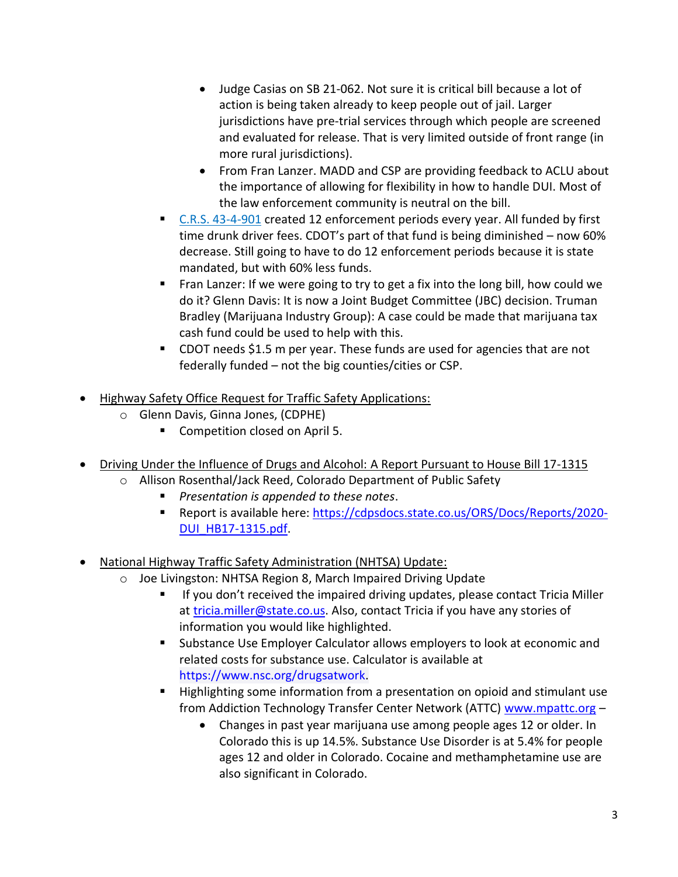- Judge Casias on SB 21-062. Not sure it is critical bill because a lot of action is being taken already to keep people out of jail. Larger jurisdictions have pre-trial services through which people are screened and evaluated for release. That is very limited outside of front range (in more rural jurisdictions).
- From Fran Lanzer. MADD and CSP are providing feedback to ACLU about the importance of allowing for flexibility in how to handle DUI. Most of the law enforcement community is neutral on the bill.
- [C.R.S. 43-4-901](https://advance.lexis.com/api/document/collection/statutes-legislation/id/60X7-SN71-F30T-B35P-00008-00?cite=C.R.S.%2043-4-901&context=1000516) created 12 enforcement periods every year. All funded by first time drunk driver fees. CDOT's part of that fund is being diminished – now 60% decrease. Still going to have to do 12 enforcement periods because it is state mandated, but with 60% less funds.
- Fran Lanzer: If we were going to try to get a fix into the long bill, how could we do it? Glenn Davis: It is now a Joint Budget Committee (JBC) decision. Truman Bradley (Marijuana Industry Group): A case could be made that marijuana tax cash fund could be used to help with this.
- CDOT needs \$1.5 m per year. These funds are used for agencies that are not federally funded – not the big counties/cities or CSP.
- Highway Safety Office Request for Traffic Safety Applications:
	- o Glenn Davis, Ginna Jones, (CDPHE)
		- Competition closed on April 5.
- Driving Under the Influence of Drugs and Alcohol: A Report Pursuant to House Bill 17-1315
	- o Allison Rosenthal/Jack Reed, Colorado Department of Public Safety
		- *Presentation is appended to these notes.*
		- Report is available here: [https://cdpsdocs.state.co.us/ORS/Docs/Reports/2020-](https://cdpsdocs.state.co.us/ORS/Docs/Reports/2020-DUI_HB17-1315.pdf) [DUI\\_HB17-1315.pdf.](https://cdpsdocs.state.co.us/ORS/Docs/Reports/2020-DUI_HB17-1315.pdf)
- National Highway Traffic Safety Administration (NHTSA) Update:
	- o Joe Livingston: NHTSA Region 8, March Impaired Driving Update
		- If you don't received the impaired driving updates, please contact Tricia Miller at [tricia.miller@state.co.us.](mailto:tricia.miller@state.co.us) Also, contact Tricia if you have any stories of information you would like highlighted.
		- Substance Use Employer Calculator allows employers to look at economic and related costs for substance use. Calculator is available at [https://www.nsc.org/drugsatwork.](https://www.nsc.org/drugsatwork)
		- Highlighting some information from a presentation on opioid and stimulant use from Addiction Technology Transfer Center Network (ATTC) [www.mpattc.org](http://www.mpattc.org/) -
			- Changes in past year marijuana use among people ages 12 or older. In Colorado this is up 14.5%. Substance Use Disorder is at 5.4% for people ages 12 and older in Colorado. Cocaine and methamphetamine use are also significant in Colorado.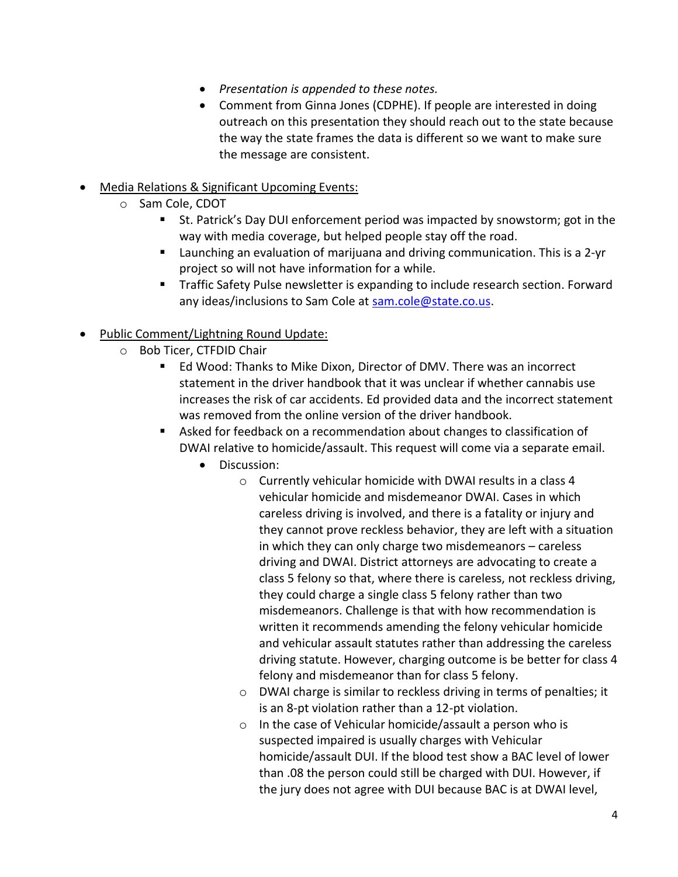- *Presentation is appended to these notes.*
- Comment from Ginna Jones (CDPHE). If people are interested in doing outreach on this presentation they should reach out to the state because the way the state frames the data is different so we want to make sure the message are consistent.
- Media Relations & Significant Upcoming Events:
	- o Sam Cole, CDOT
		- St. Patrick's Day DUI enforcement period was impacted by snowstorm; got in the way with media coverage, but helped people stay off the road.
		- Launching an evaluation of marijuana and driving communication. This is a 2-yr project so will not have information for a while.
		- Traffic Safety Pulse newsletter is expanding to include research section. Forward any ideas/inclusions to Sam Cole at [sam.cole@state.co.us.](mailto:sam.cole@state.co.us)
- Public Comment/Lightning Round Update:
	- o Bob Ticer, CTFDID Chair
		- Ed Wood: Thanks to Mike Dixon, Director of DMV. There was an incorrect statement in the driver handbook that it was unclear if whether cannabis use increases the risk of car accidents. Ed provided data and the incorrect statement was removed from the online version of the driver handbook.
		- Asked for feedback on a recommendation about changes to classification of DWAI relative to homicide/assault. This request will come via a separate email.
			- Discussion:
				- o Currently vehicular homicide with DWAI results in a class 4 vehicular homicide and misdemeanor DWAI. Cases in which careless driving is involved, and there is a fatality or injury and they cannot prove reckless behavior, they are left with a situation in which they can only charge two misdemeanors – careless driving and DWAI. District attorneys are advocating to create a class 5 felony so that, where there is careless, not reckless driving, they could charge a single class 5 felony rather than two misdemeanors. Challenge is that with how recommendation is written it recommends amending the felony vehicular homicide and vehicular assault statutes rather than addressing the careless driving statute. However, charging outcome is be better for class 4 felony and misdemeanor than for class 5 felony.
				- o DWAI charge is similar to reckless driving in terms of penalties; it is an 8-pt violation rather than a 12-pt violation.
				- o In the case of Vehicular homicide/assault a person who is suspected impaired is usually charges with Vehicular homicide/assault DUI. If the blood test show a BAC level of lower than .08 the person could still be charged with DUI. However, if the jury does not agree with DUI because BAC is at DWAI level,